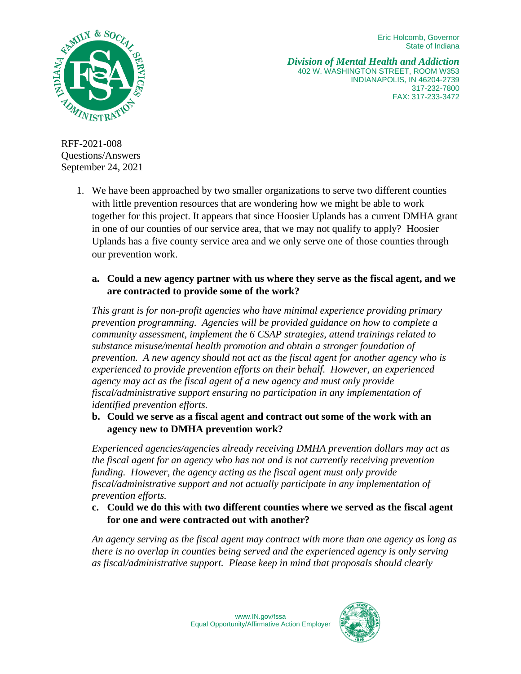Eric Holcomb, Governor State of Indiana



*Division of Mental Health and Addiction* 402 W. WASHINGTON STREET, ROOM W353 INDIANAPOLIS, IN 46204-2739 317-232-7800 FAX: 317-233-3472

RFF-2021-008 Questions/Answers September 24, 2021

> 1. We have been approached by two smaller organizations to serve two different counties with little prevention resources that are wondering how we might be able to work together for this project. It appears that since Hoosier Uplands has a current DMHA grant in one of our counties of our service area, that we may not qualify to apply? Hoosier Uplands has a five county service area and we only serve one of those counties through our prevention work.

## **a. Could a new agency partner with us where they serve as the fiscal agent, and we are contracted to provide some of the work?**

*This grant is for non-profit agencies who have minimal experience providing primary prevention programming. Agencies will be provided guidance on how to complete a community assessment, implement the 6 CSAP strategies, attend trainings related to substance misuse/mental health promotion and obtain a stronger foundation of prevention. A new agency should not act as the fiscal agent for another agency who is experienced to provide prevention efforts on their behalf. However, an experienced agency may act as the fiscal agent of a new agency and must only provide fiscal/administrative support ensuring no participation in any implementation of identified prevention efforts.*

**b. Could we serve as a fiscal agent and contract out some of the work with an agency new to DMHA prevention work?** 

*Experienced agencies/agencies already receiving DMHA prevention dollars may act as the fiscal agent for an agency who has not and is not currently receiving prevention funding. However, the agency acting as the fiscal agent must only provide fiscal/administrative support and not actually participate in any implementation of prevention efforts.*

**c. Could we do this with two different counties where we served as the fiscal agent for one and were contracted out with another?**

*An agency serving as the fiscal agent may contract with more than one agency as long as there is no overlap in counties being served and the experienced agency is only serving as fiscal/administrative support. Please keep in mind that proposals should clearly* 

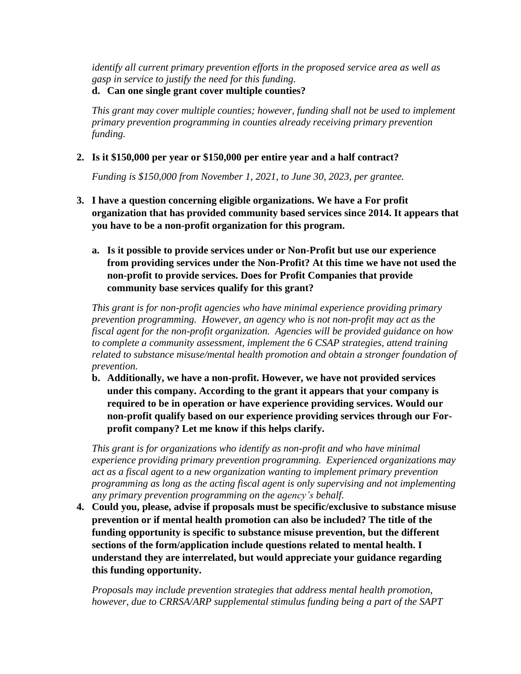*identify all current primary prevention efforts in the proposed service area as well as gasp in service to justify the need for this funding.*

## **d. Can one single grant cover multiple counties?**

*This grant may cover multiple counties; however, funding shall not be used to implement primary prevention programming in counties already receiving primary prevention funding.*

# **2. Is it \$150,000 per year or \$150,000 per entire year and a half contract?**

*Funding is \$150,000 from November 1, 2021, to June 30, 2023, per grantee.*

- **3. I have a question concerning eligible organizations. We have a For profit organization that has provided community based services since 2014. It appears that you have to be a non-profit organization for this program.** 
	- **a. Is it possible to provide services under or Non-Profit but use our experience from providing services under the Non-Profit? At this time we have not used the non-profit to provide services. Does for Profit Companies that provide community base services qualify for this grant?**

*This grant is for non-profit agencies who have minimal experience providing primary prevention programming. However, an agency who is not non-profit may act as the fiscal agent for the non-profit organization. Agencies will be provided guidance on how to complete a community assessment, implement the 6 CSAP strategies, attend training related to substance misuse/mental health promotion and obtain a stronger foundation of prevention.*

**b. Additionally, we have a non-profit. However, we have not provided services under this company. According to the grant it appears that your company is required to be in operation or have experience providing services. Would our non-profit qualify based on our experience providing services through our Forprofit company? Let me know if this helps clarify.**

*This grant is for organizations who identify as non-profit and who have minimal experience providing primary prevention programming. Experienced organizations may act as a fiscal agent to a new organization wanting to implement primary prevention programming as long as the acting fiscal agent is only supervising and not implementing any primary prevention programming on the agency's behalf.*

**4. Could you, please, advise if proposals must be specific/exclusive to substance misuse prevention or if mental health promotion can also be included? The title of the funding opportunity is specific to substance misuse prevention, but the different sections of the form/application include questions related to mental health. I understand they are interrelated, but would appreciate your guidance regarding this funding opportunity.**

*Proposals may include prevention strategies that address mental health promotion, however, due to CRRSA/ARP supplemental stimulus funding being a part of the SAPT*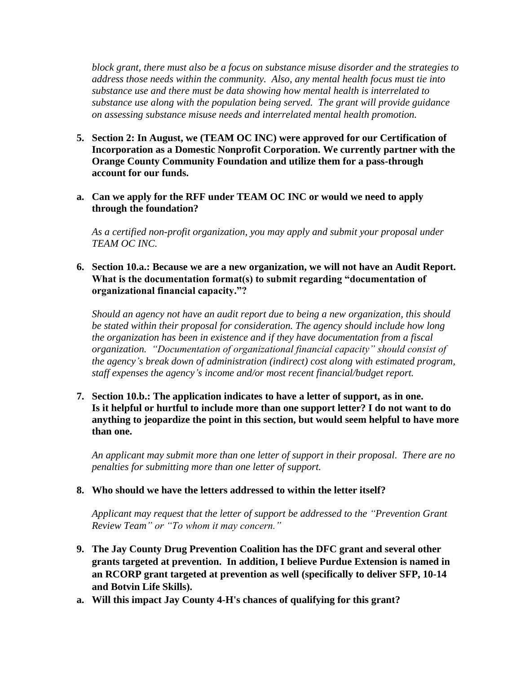*block grant, there must also be a focus on substance misuse disorder and the strategies to address those needs within the community. Also, any mental health focus must tie into substance use and there must be data showing how mental health is interrelated to substance use along with the population being served. The grant will provide guidance on assessing substance misuse needs and interrelated mental health promotion.*

- **5. Section 2: In August, we (TEAM OC INC) were approved for our Certification of Incorporation as a Domestic Nonprofit Corporation. We currently partner with the Orange County Community Foundation and utilize them for a pass-through account for our funds.**
- **a. Can we apply for the RFF under TEAM OC INC or would we need to apply through the foundation?**

*As a certified non-profit organization, you may apply and submit your proposal under TEAM OC INC.*

**6. Section 10.a.: Because we are a new organization, we will not have an Audit Report. What is the documentation format(s) to submit regarding "documentation of organizational financial capacity."?**

*Should an agency not have an audit report due to being a new organization, this should be stated within their proposal for consideration. The agency should include how long the organization has been in existence and if they have documentation from a fiscal organization. "Documentation of organizational financial capacity" should consist of the agency's break down of administration (indirect) cost along with estimated program, staff expenses the agency's income and/or most recent financial/budget report.* 

**7. Section 10.b.: The application indicates to have a letter of support, as in one. Is it helpful or hurtful to include more than one support letter? I do not want to do anything to jeopardize the point in this section, but would seem helpful to have more than one.**

*An applicant may submit more than one letter of support in their proposal. There are no penalties for submitting more than one letter of support.*

#### **8. Who should we have the letters addressed to within the letter itself?**

*Applicant may request that the letter of support be addressed to the "Prevention Grant Review Team" or "To whom it may concern."*

- **9. The Jay County Drug Prevention Coalition has the DFC grant and several other grants targeted at prevention. In addition, I believe Purdue Extension is named in an RCORP grant targeted at prevention as well (specifically to deliver SFP, 10-14 and Botvin Life Skills).**
- **a. Will this impact Jay County 4-H's chances of qualifying for this grant?**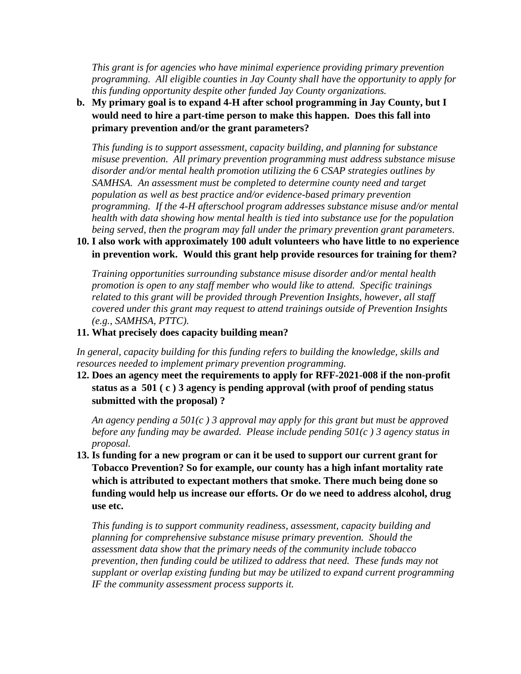*This grant is for agencies who have minimal experience providing primary prevention programming. All eligible counties in Jay County shall have the opportunity to apply for this funding opportunity despite other funded Jay County organizations.* 

**b. My primary goal is to expand 4-H after school programming in Jay County, but I would need to hire a part-time person to make this happen. Does this fall into primary prevention and/or the grant parameters?**

*This funding is to support assessment, capacity building, and planning for substance misuse prevention. All primary prevention programming must address substance misuse disorder and/or mental health promotion utilizing the 6 CSAP strategies outlines by SAMHSA. An assessment must be completed to determine county need and target population as well as best practice and/or evidence-based primary prevention programming. If the 4-H afterschool program addresses substance misuse and/or mental health with data showing how mental health is tied into substance use for the population being served, then the program may fall under the primary prevention grant parameters.* 

#### **10. I also work with approximately 100 adult volunteers who have little to no experience in prevention work. Would this grant help provide resources for training for them?**

*Training opportunities surrounding substance misuse disorder and/or mental health promotion is open to any staff member who would like to attend. Specific trainings related to this grant will be provided through Prevention Insights, however, all staff covered under this grant may request to attend trainings outside of Prevention Insights (e.g., SAMHSA, PTTC).*

#### **11. What precisely does capacity building mean?**

*In general, capacity building for this funding refers to building the knowledge, skills and resources needed to implement primary prevention programming.*

**12. Does an agency meet the requirements to apply for RFF-2021-008 if the non-profit status as a 501 ( c ) 3 agency is pending approval (with proof of pending status submitted with the proposal) ?**

*An agency pending a 501(c ) 3 approval may apply for this grant but must be approved before any funding may be awarded. Please include pending 501(c ) 3 agency status in proposal.*

**13. Is funding for a new program or can it be used to support our current grant for Tobacco Prevention? So for example, our county has a high infant mortality rate which is attributed to expectant mothers that smoke. There much being done so funding would help us increase our efforts. Or do we need to address alcohol, drug use etc.** 

*This funding is to support community readiness, assessment, capacity building and planning for comprehensive substance misuse primary prevention. Should the assessment data show that the primary needs of the community include tobacco prevention, then funding could be utilized to address that need. These funds may not supplant or overlap existing funding but may be utilized to expand current programming IF the community assessment process supports it.*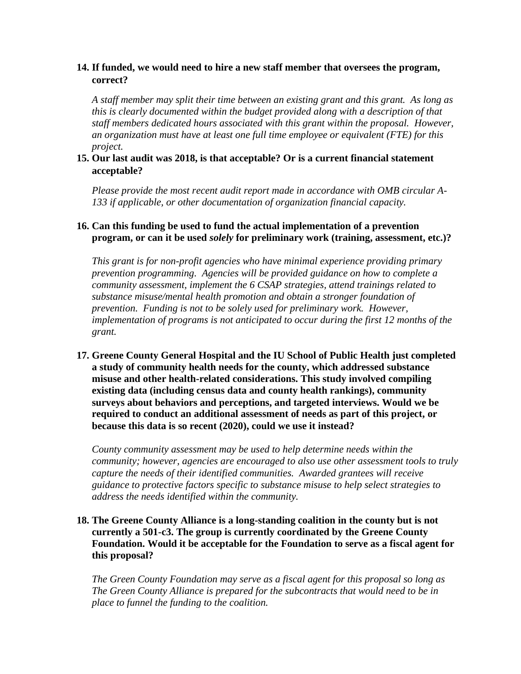### **14. If funded, we would need to hire a new staff member that oversees the program, correct?**

*A staff member may split their time between an existing grant and this grant. As long as this is clearly documented within the budget provided along with a description of that staff members dedicated hours associated with this grant within the proposal. However, an organization must have at least one full time employee or equivalent (FTE) for this project.*

### **15. Our last audit was 2018, is that acceptable? Or is a current financial statement acceptable?**

*Please provide the most recent audit report made in accordance with OMB circular A-133 if applicable, or other documentation of organization financial capacity.*

### **16. Can this funding be used to fund the actual implementation of a prevention program, or can it be used** *solely* **for preliminary work (training, assessment, etc.)?**

*This grant is for non-profit agencies who have minimal experience providing primary prevention programming. Agencies will be provided guidance on how to complete a community assessment, implement the 6 CSAP strategies, attend trainings related to substance misuse/mental health promotion and obtain a stronger foundation of prevention. Funding is not to be solely used for preliminary work. However, implementation of programs is not anticipated to occur during the first 12 months of the grant.*

**17. Greene County General Hospital and the IU School of Public Health just completed a study of community health needs for the county, which addressed substance misuse and other health-related considerations. This study involved compiling existing data (including census data and county health rankings), community surveys about behaviors and perceptions, and targeted interviews. Would we be required to conduct an additional assessment of needs as part of this project, or because this data is so recent (2020), could we use it instead?**

*County community assessment may be used to help determine needs within the community; however, agencies are encouraged to also use other assessment tools to truly capture the needs of their identified communities. Awarded grantees will receive guidance to protective factors specific to substance misuse to help select strategies to address the needs identified within the community.*

#### **18. The Greene County Alliance is a long-standing coalition in the county but is not currently a 501-c3. The group is currently coordinated by the Greene County Foundation. Would it be acceptable for the Foundation to serve as a fiscal agent for this proposal?**

*The Green County Foundation may serve as a fiscal agent for this proposal so long as The Green County Alliance is prepared for the subcontracts that would need to be in place to funnel the funding to the coalition.*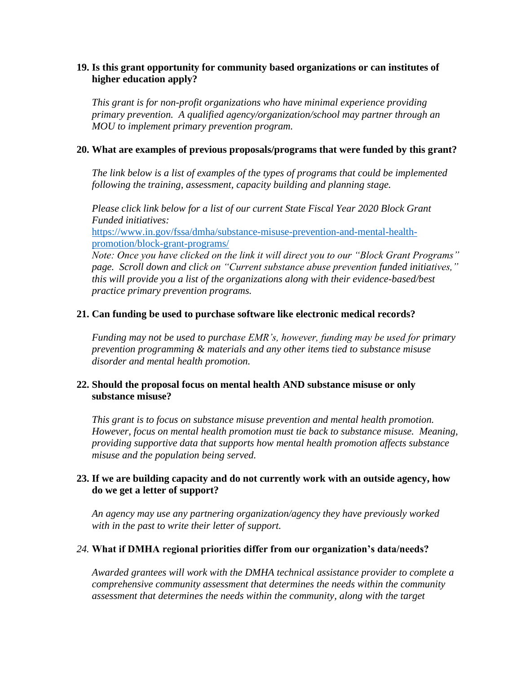### **19. Is this grant opportunity for community based organizations or can institutes of higher education apply?**

*This grant is for non-profit organizations who have minimal experience providing primary prevention. A qualified agency/organization/school may partner through an MOU to implement primary prevention program.*

### **20. What are examples of previous proposals/programs that were funded by this grant?**

*The link below is a list of examples of the types of programs that could be implemented following the training, assessment, capacity building and planning stage.*

*Please click link below for a list of our current State Fiscal Year 2020 Block Grant Funded initiatives:*

[https://www.in.gov/fssa/dmha/substance-misuse-prevention-and-mental-health](https://www.in.gov/fssa/dmha/substance-misuse-prevention-and-mental-health-promotion/block-grant-programs/)[promotion/block-grant-programs/](https://www.in.gov/fssa/dmha/substance-misuse-prevention-and-mental-health-promotion/block-grant-programs/)

*Note: Once you have clicked on the link it will direct you to our "Block Grant Programs" page. Scroll down and click on "Current substance abuse prevention funded initiatives," this will provide you a list of the organizations along with their evidence-based/best practice primary prevention programs.*

### **21. Can funding be used to purchase software like electronic medical records?**

*Funding may not be used to purchase EMR's, however, funding may be used for primary prevention programming & materials and any other items tied to substance misuse disorder and mental health promotion.*

### **22. Should the proposal focus on mental health AND substance misuse or only substance misuse?**

*This grant is to focus on substance misuse prevention and mental health promotion. However, focus on mental health promotion must tie back to substance misuse. Meaning, providing supportive data that supports how mental health promotion affects substance misuse and the population being served.*

### **23. If we are building capacity and do not currently work with an outside agency, how do we get a letter of support?**

*An agency may use any partnering organization/agency they have previously worked with in the past to write their letter of support.*

#### *24.* **What if DMHA regional priorities differ from our organization's data/needs?**

*Awarded grantees will work with the DMHA technical assistance provider to complete a comprehensive community assessment that determines the needs within the community assessment that determines the needs within the community, along with the target*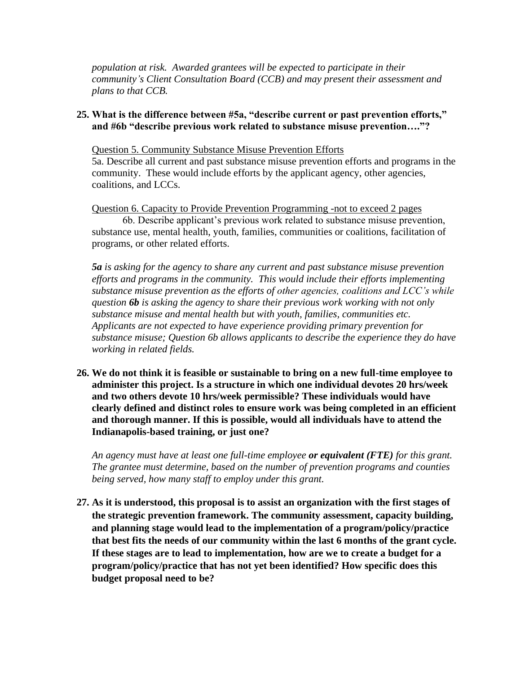*population at risk. Awarded grantees will be expected to participate in their community's Client Consultation Board (CCB) and may present their assessment and plans to that CCB.*

#### **25. What is the difference between #5a, "describe current or past prevention efforts," and #6b "describe previous work related to substance misuse prevention…."?**

Question 5. Community Substance Misuse Prevention Efforts 5a. Describe all current and past substance misuse prevention efforts and programs in the community. These would include efforts by the applicant agency, other agencies, coalitions, and LCCs.

Question 6. Capacity to Provide Prevention Programming -not to exceed 2 pages 6b. Describe applicant's previous work related to substance misuse prevention, substance use, mental health, youth, families, communities or coalitions, facilitation of programs, or other related efforts.

*5a is asking for the agency to share any current and past substance misuse prevention efforts and programs in the community. This would include their efforts implementing substance misuse prevention as the efforts of other agencies, coalitions and LCC's while question 6b is asking the agency to share their previous work working with not only substance misuse and mental health but with youth, families, communities etc. Applicants are not expected to have experience providing primary prevention for substance misuse; Question 6b allows applicants to describe the experience they do have working in related fields.*

**26. We do not think it is feasible or sustainable to bring on a new full-time employee to administer this project. Is a structure in which one individual devotes 20 hrs/week and two others devote 10 hrs/week permissible? These individuals would have clearly defined and distinct roles to ensure work was being completed in an efficient and thorough manner. If this is possible, would all individuals have to attend the Indianapolis-based training, or just one?**

*An agency must have at least one full-time employee or equivalent (FTE) for this grant. The grantee must determine, based on the number of prevention programs and counties being served, how many staff to employ under this grant.* 

**27. As it is understood, this proposal is to assist an organization with the first stages of the strategic prevention framework. The community assessment, capacity building, and planning stage would lead to the implementation of a program/policy/practice that best fits the needs of our community within the last 6 months of the grant cycle. If these stages are to lead to implementation, how are we to create a budget for a program/policy/practice that has not yet been identified? How specific does this budget proposal need to be?**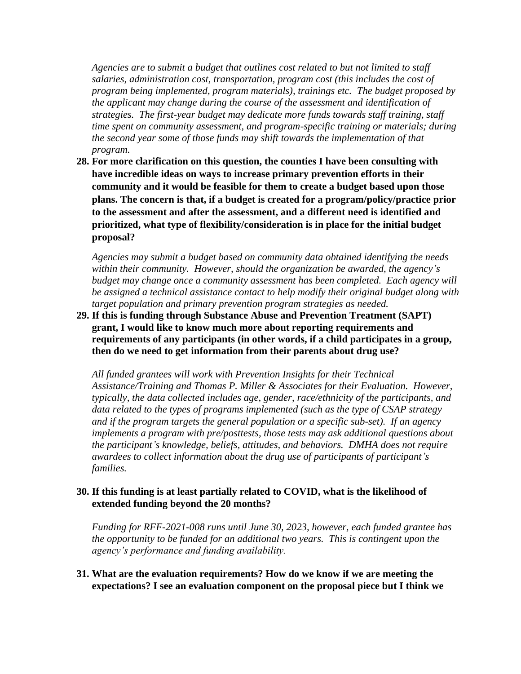*Agencies are to submit a budget that outlines cost related to but not limited to staff salaries, administration cost, transportation, program cost (this includes the cost of program being implemented, program materials), trainings etc. The budget proposed by the applicant may change during the course of the assessment and identification of strategies. The first-year budget may dedicate more funds towards staff training, staff time spent on community assessment, and program-specific training or materials; during the second year some of those funds may shift towards the implementation of that program.*

**28. For more clarification on this question, the counties I have been consulting with have incredible ideas on ways to increase primary prevention efforts in their community and it would be feasible for them to create a budget based upon those plans. The concern is that, if a budget is created for a program/policy/practice prior to the assessment and after the assessment, and a different need is identified and prioritized, what type of flexibility/consideration is in place for the initial budget proposal?**

*Agencies may submit a budget based on community data obtained identifying the needs within their community. However, should the organization be awarded, the agency's* budget may change once a community assessment has been completed. Each agency will *be assigned a technical assistance contact to help modify their original budget along with target population and primary prevention program strategies as needed.*

**29. If this is funding through Substance Abuse and Prevention Treatment (SAPT) grant, I would like to know much more about reporting requirements and requirements of any participants (in other words, if a child participates in a group, then do we need to get information from their parents about drug use?**

*All funded grantees will work with Prevention Insights for their Technical Assistance/Training and Thomas P. Miller & Associates for their Evaluation. However, typically, the data collected includes age, gender, race/ethnicity of the participants, and data related to the types of programs implemented (such as the type of CSAP strategy and if the program targets the general population or a specific sub-set). If an agency implements a program with pre/posttests, those tests may ask additional questions about the participant's knowledge, beliefs, attitudes, and behaviors. DMHA does not require awardees to collect information about the drug use of participants of participant's families.*

#### **30. If this funding is at least partially related to COVID, what is the likelihood of extended funding beyond the 20 months?**

*Funding for RFF-2021-008 runs until June 30, 2023, however, each funded grantee has the opportunity to be funded for an additional two years. This is contingent upon the agency's performance and funding availability.* 

**31. What are the evaluation requirements? How do we know if we are meeting the expectations? I see an evaluation component on the proposal piece but I think we**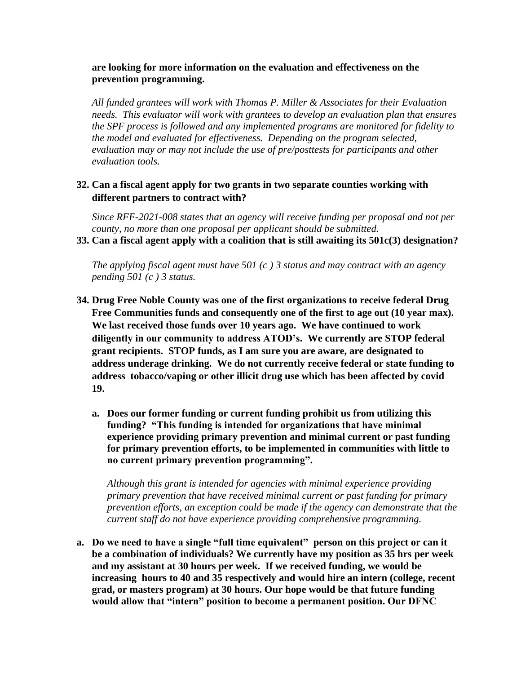#### **are looking for more information on the evaluation and effectiveness on the prevention programming.**

*All funded grantees will work with Thomas P. Miller & Associates for their Evaluation needs. This evaluator will work with grantees to develop an evaluation plan that ensures the SPF process is followed and any implemented programs are monitored for fidelity to the model and evaluated for effectiveness. Depending on the program selected, evaluation may or may not include the use of pre/posttests for participants and other evaluation tools.*

### **32. Can a fiscal agent apply for two grants in two separate counties working with different partners to contract with?**

*Since RFF-2021-008 states that an agency will receive funding per proposal and not per county, no more than one proposal per applicant should be submitted.*

**33. Can a fiscal agent apply with a coalition that is still awaiting its 501c(3) designation?** 

*The applying fiscal agent must have 501 (c ) 3 status and may contract with an agency pending 501 (c ) 3 status.* 

- **34. Drug Free Noble County was one of the first organizations to receive federal Drug Free Communities funds and consequently one of the first to age out (10 year max). We last received those funds over 10 years ago. We have continued to work diligently in our community to address ATOD's. We currently are STOP federal grant recipients. STOP funds, as I am sure you are aware, are designated to address underage drinking. We do not currently receive federal or state funding to address tobacco/vaping or other illicit drug use which has been affected by covid 19.** 
	- **a. Does our former funding or current funding prohibit us from utilizing this funding? "This funding is intended for organizations that have minimal experience providing primary prevention and minimal current or past funding for primary prevention efforts, to be implemented in communities with little to no current primary prevention programming".**

*Although this grant is intended for agencies with minimal experience providing primary prevention that have received minimal current or past funding for primary prevention efforts, an exception could be made if the agency can demonstrate that the current staff do not have experience providing comprehensive programming.* 

**a. Do we need to have a single "full time equivalent" person on this project or can it be a combination of individuals? We currently have my position as 35 hrs per week and my assistant at 30 hours per week. If we received funding, we would be increasing hours to 40 and 35 respectively and would hire an intern (college, recent grad, or masters program) at 30 hours. Our hope would be that future funding would allow that "intern" position to become a permanent position. Our DFNC**